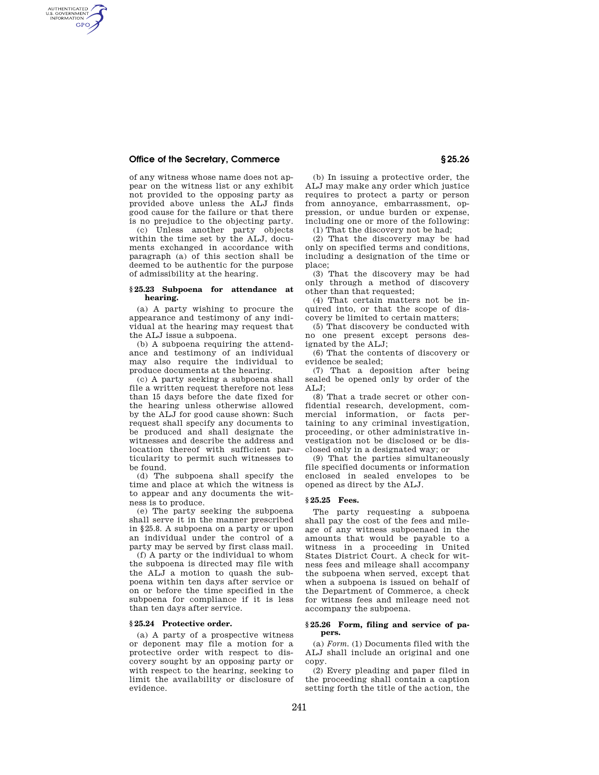## **Office of the Secretary, Commerce § 25.26**

AUTHENTICATED<br>U.S. GOVERNMENT<br>INFORMATION **GPO** 

> of any witness whose name does not appear on the witness list or any exhibit not provided to the opposing party as provided above unless the ALJ finds good cause for the failure or that there is no prejudice to the objecting party.

> (c) Unless another party objects within the time set by the ALJ, documents exchanged in accordance with paragraph (a) of this section shall be deemed to be authentic for the purpose of admissibility at the hearing.

#### **§ 25.23 Subpoena for attendance at hearing.**

(a) A party wishing to procure the appearance and testimony of any individual at the hearing may request that the ALJ issue a subpoena.

(b) A subpoena requiring the attendance and testimony of an individual may also require the individual to produce documents at the hearing.

(c) A party seeking a subpoena shall file a written request therefore not less than 15 days before the date fixed for the hearing unless otherwise allowed by the ALJ for good cause shown: Such request shall specify any documents to be produced and shall designate the witnesses and describe the address and location thereof with sufficient particularity to permit such witnesses to be found.

(d) The subpoena shall specify the time and place at which the witness is to appear and any documents the witness is to produce.

(e) The party seeking the subpoena shall serve it in the manner prescribed in §25.8. A subpoena on a party or upon an individual under the control of a party may be served by first class mail.

(f) A party or the individual to whom the subpoena is directed may file with the ALJ a motion to quash the subpoena within ten days after service or on or before the time specified in the subpoena for compliance if it is less than ten days after service.

#### **§ 25.24 Protective order.**

(a) A party of a prospective witness or deponent may file a motion for a protective order with respect to discovery sought by an opposing party or with respect to the hearing, seeking to limit the availability or disclosure of evidence.

(b) In issuing a protective order, the ALJ may make any order which justice requires to protect a party or person from annoyance, embarrassment, oppression, or undue burden or expense, including one or more of the following:

(1) That the discovery not be had;

(2) That the discovery may be had only on specified terms and conditions, including a designation of the time or place;

(3) That the discovery may be had only through a method of discovery other than that requested;

(4) That certain matters not be inquired into, or that the scope of discovery be limited to certain matters;

(5) That discovery be conducted with no one present except persons designated by the ALJ;

(6) That the contents of discovery or evidence be sealed;

(7) That a deposition after being sealed be opened only by order of the  $ATJ$ :

(8) That a trade secret or other confidential research, development, commercial information, or facts pertaining to any criminal investigation, proceeding, or other administrative investigation not be disclosed or be disclosed only in a designated way; or

(9) That the parties simultaneously file specified documents or information enclosed in sealed envelopes to be opened as direct by the ALJ.

# **§ 25.25 Fees.**

The party requesting a subpoena shall pay the cost of the fees and mileage of any witness subpoenaed in the amounts that would be payable to a witness in a proceeding in United States District Court. A check for witness fees and mileage shall accompany the subpoena when served, except that when a subpoena is issued on behalf of the Department of Commerce, a check for witness fees and mileage need not accompany the subpoena.

### **§ 25.26 Form, filing and service of papers.**

(a) *Form.* (1) Documents filed with the ALJ shall include an original and one copy.

(2) Every pleading and paper filed in the proceeding shall contain a caption setting forth the title of the action, the